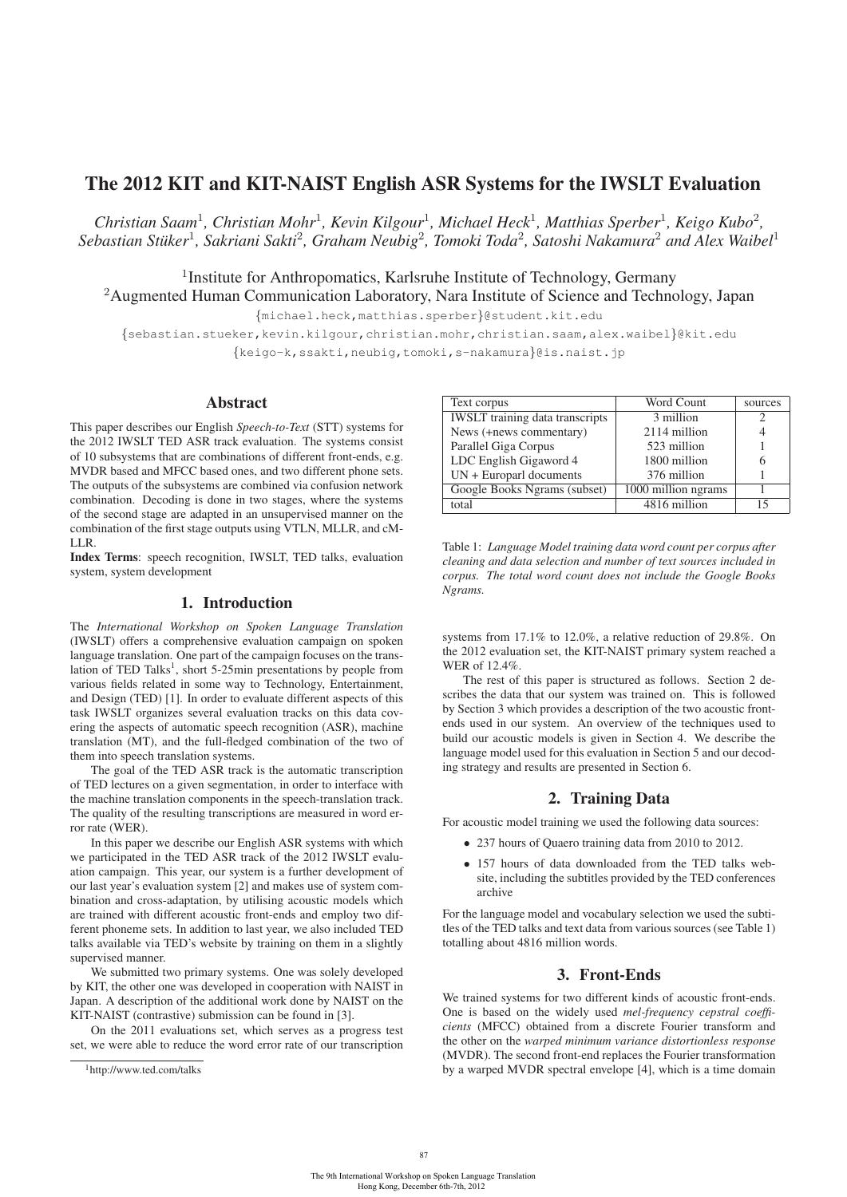# The 2012 KIT and KIT-NAIST English ASR Systems for the IWSLT Evaluation

*Christian Saam*<sup>1</sup>*, Christian Mohr*<sup>1</sup>*, Kevin Kilgour*<sup>1</sup>*, Michael Heck*<sup>1</sup>*, Matthias Sperber*<sup>1</sup>*, Keigo Kubo*<sup>2</sup>*, Sebastian Stuker ¨* <sup>1</sup>*, Sakriani Sakti*<sup>2</sup>*, Graham Neubig*<sup>2</sup>*, Tomoki Toda*<sup>2</sup>*, Satoshi Nakamura*<sup>2</sup> *and Alex Waibel*<sup>1</sup>

<sup>1</sup>Institute for Anthropomatics, Karlsruhe Institute of Technology, Germany

<sup>2</sup>Augmented Human Communication Laboratory, Nara Institute of Science and Technology, Japan

{michael.heck,matthias.sperber}@student.kit.edu

{sebastian.stueker,kevin.kilgour,christian.mohr,christian.saam,alex.waibel}@kit.edu

{keigo-k,ssakti,neubig,tomoki,s-nakamura}@is.naist.jp

### Abstract

This paper describes our English *Speech-to-Text* (STT) systems for the 2012 IWSLT TED ASR track evaluation. The systems consist of 10 subsystems that are combinations of different front-ends, e.g. MVDR based and MFCC based ones, and two different phone sets. The outputs of the subsystems are combined via confusion network combination. Decoding is done in two stages, where the systems of the second stage are adapted in an unsupervised manner on the combination of the first stage outputs using VTLN, MLLR, and cM-LLR.

Index Terms: speech recognition, IWSLT, TED talks, evaluation system, system development

## 1. Introduction

The *International Workshop on Spoken Language Translation* (IWSLT) offers a comprehensive evaluation campaign on spoken language translation. One part of the campaign focuses on the translation of TED Talks<sup>1</sup>, short 5-25min presentations by people from various fields related in some way to Technology, Entertainment, and Design (TED) [1]. In order to evaluate different aspects of this task IWSLT organizes several evaluation tracks on this data covering the aspects of automatic speech recognition (ASR), machine translation (MT), and the full-fledged combination of the two of them into speech translation systems.

The goal of the TED ASR track is the automatic transcription of TED lectures on a given segmentation, in order to interface with the machine translation components in the speech-translation track. The quality of the resulting transcriptions are measured in word error rate (WER).

In this paper we describe our English ASR systems with which we participated in the TED ASR track of the 2012 IWSLT evaluation campaign. This year, our system is a further development of our last year's evaluation system [2] and makes use of system combination and cross-adaptation, by utilising acoustic models which are trained with different acoustic front-ends and employ two different phoneme sets. In addition to last year, we also included TED talks available via TED's website by training on them in a slightly supervised manner.

We submitted two primary systems. One was solely developed by KIT, the other one was developed in cooperation with NAIST in Japan. A description of the additional work done by NAIST on the KIT-NAIST (contrastive) submission can be found in [3].

On the 2011 evaluations set, which serves as a progress test set, we were able to reduce the word error rate of our transcription

| Text corpus                            | Word Count          | sources |
|----------------------------------------|---------------------|---------|
| <b>IWSLT</b> training data transcripts | 3 million           |         |
| News (+news commentary)                | 2114 million        |         |
| Parallel Giga Corpus                   | 523 million         |         |
| LDC English Gigaword 4                 | 1800 million        |         |
| $UN + European documents$              | 376 million         |         |
| Google Books Ngrams (subset)           | 1000 million ngrams |         |
| total                                  | 4816 million        | 15      |

Table 1: *Language Model training data word count per corpus after cleaning and data selection and number of text sources included in corpus. The total word count does not include the Google Books Ngrams.*

systems from 17.1% to 12.0%, a relative reduction of 29.8%. On the 2012 evaluation set, the KIT-NAIST primary system reached a WER of 12.4%.

The rest of this paper is structured as follows. Section 2 describes the data that our system was trained on. This is followed by Section 3 which provides a description of the two acoustic frontends used in our system. An overview of the techniques used to build our acoustic models is given in Section 4. We describe the language model used for this evaluation in Section 5 and our decoding strategy and results are presented in Section 6.

# 2. Training Data

For acoustic model training we used the following data sources:

- 237 hours of Quaero training data from 2010 to 2012.
- 157 hours of data downloaded from the TED talks website, including the subtitles provided by the TED conferences archive

For the language model and vocabulary selection we used the subtitles of the TED talks and text data from various sources (see Table 1) totalling about 4816 million words.

### 3. Front-Ends

We trained systems for two different kinds of acoustic front-ends. One is based on the widely used *mel-frequency cepstral coefficients* (MFCC) obtained from a discrete Fourier transform and the other on the *warped minimum variance distortionless response* (MVDR). The second front-end replaces the Fourier transformation by a warped MVDR spectral envelope [4], which is a time domain

87

<sup>1</sup>http://www.ted.com/talks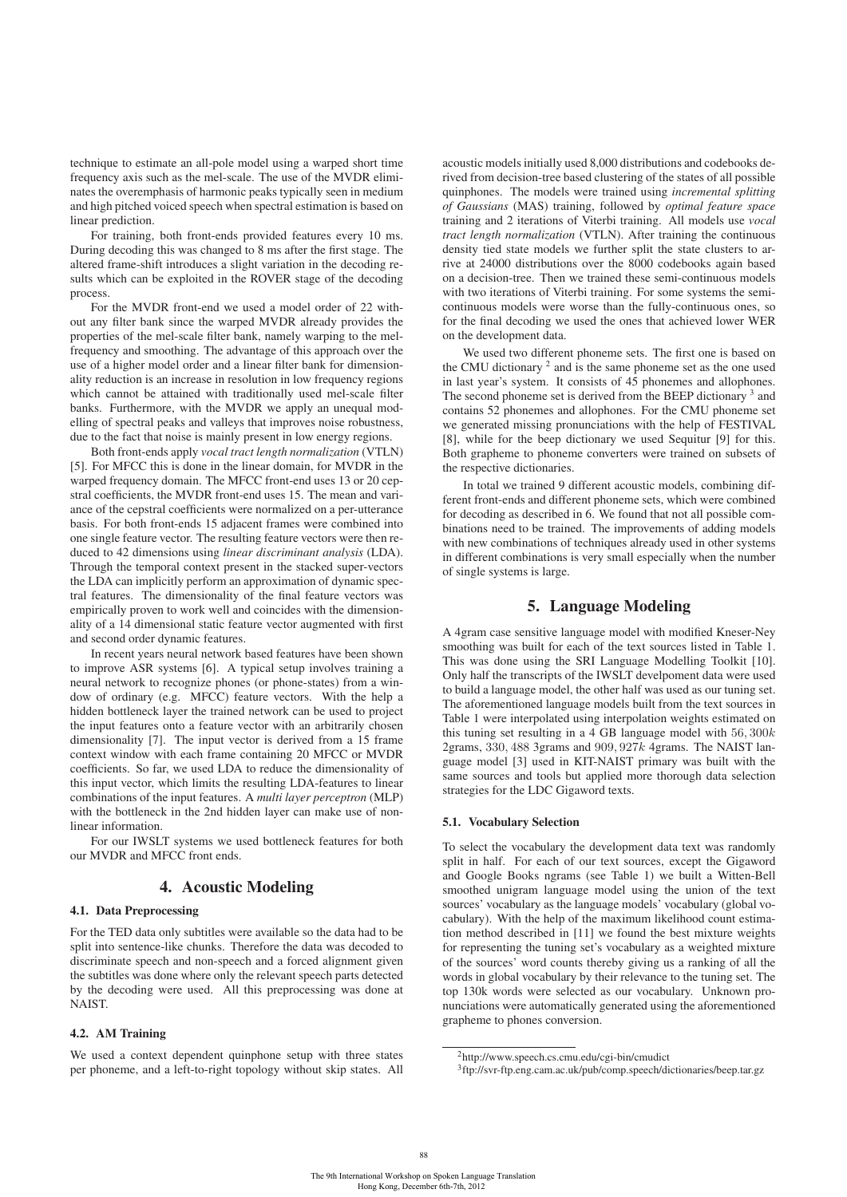technique to estimate an all-pole model using a warped short time frequency axis such as the mel-scale. The use of the MVDR eliminates the overemphasis of harmonic peaks typically seen in medium and high pitched voiced speech when spectral estimation is based on linear prediction.

For training, both front-ends provided features every 10 ms. During decoding this was changed to 8 ms after the first stage. The altered frame-shift introduces a slight variation in the decoding results which can be exploited in the ROVER stage of the decoding process.

For the MVDR front-end we used a model order of 22 without any filter bank since the warped MVDR already provides the properties of the mel-scale filter bank, namely warping to the melfrequency and smoothing. The advantage of this approach over the use of a higher model order and a linear filter bank for dimensionality reduction is an increase in resolution in low frequency regions which cannot be attained with traditionally used mel-scale filter banks. Furthermore, with the MVDR we apply an unequal modelling of spectral peaks and valleys that improves noise robustness, due to the fact that noise is mainly present in low energy regions.

Both front-ends apply *vocal tract length normalization* (VTLN) [5]. For MFCC this is done in the linear domain, for MVDR in the warped frequency domain. The MFCC front-end uses 13 or 20 cepstral coefficients, the MVDR front-end uses 15. The mean and variance of the cepstral coefficients were normalized on a per-utterance basis. For both front-ends 15 adjacent frames were combined into one single feature vector. The resulting feature vectors were then reduced to 42 dimensions using *linear discriminant analysis* (LDA). Through the temporal context present in the stacked super-vectors the LDA can implicitly perform an approximation of dynamic spectral features. The dimensionality of the final feature vectors was empirically proven to work well and coincides with the dimensionality of a 14 dimensional static feature vector augmented with first and second order dynamic features.

In recent years neural network based features have been shown to improve ASR systems [6]. A typical setup involves training a neural network to recognize phones (or phone-states) from a window of ordinary (e.g. MFCC) feature vectors. With the help a hidden bottleneck layer the trained network can be used to project the input features onto a feature vector with an arbitrarily chosen dimensionality [7]. The input vector is derived from a 15 frame context window with each frame containing 20 MFCC or MVDR coefficients. So far, we used LDA to reduce the dimensionality of this input vector, which limits the resulting LDA-features to linear combinations of the input features. A *multi layer perceptron* (MLP) with the bottleneck in the 2nd hidden layer can make use of nonlinear information.

For our IWSLT systems we used bottleneck features for both our MVDR and MFCC front ends.

### 4. Acoustic Modeling

### 4.1. Data Preprocessing

For the TED data only subtitles were available so the data had to be split into sentence-like chunks. Therefore the data was decoded to discriminate speech and non-speech and a forced alignment given the subtitles was done where only the relevant speech parts detected by the decoding were used. All this preprocessing was done at NAIST.

### 4.2. AM Training

We used a context dependent quinphone setup with three states per phoneme, and a left-to-right topology without skip states. All acoustic models initially used 8,000 distributions and codebooks derived from decision-tree based clustering of the states of all possible quinphones. The models were trained using *incremental splitting of Gaussians* (MAS) training, followed by *optimal feature space* training and 2 iterations of Viterbi training. All models use *vocal tract length normalization* (VTLN). After training the continuous density tied state models we further split the state clusters to arrive at 24000 distributions over the 8000 codebooks again based on a decision-tree. Then we trained these semi-continuous models with two iterations of Viterbi training. For some systems the semicontinuous models were worse than the fully-continuous ones, so for the final decoding we used the ones that achieved lower WER on the development data.

We used two different phoneme sets. The first one is based on the CMU dictionary  $2$  and is the same phoneme set as the one used in last year's system. It consists of 45 phonemes and allophones. The second phoneme set is derived from the BEEP dictionary <sup>3</sup> and contains 52 phonemes and allophones. For the CMU phoneme set we generated missing pronunciations with the help of FESTIVAL [8], while for the beep dictionary we used Sequitur [9] for this. Both grapheme to phoneme converters were trained on subsets of the respective dictionaries.

In total we trained 9 different acoustic models, combining different front-ends and different phoneme sets, which were combined for decoding as described in 6. We found that not all possible combinations need to be trained. The improvements of adding models with new combinations of techniques already used in other systems in different combinations is very small especially when the number of single systems is large.

### 5. Language Modeling

A 4gram case sensitive language model with modified Kneser-Ney smoothing was built for each of the text sources listed in Table 1. This was done using the SRI Language Modelling Toolkit [10]. Only half the transcripts of the IWSLT develpoment data were used to build a language model, the other half was used as our tuning set. The aforementioned language models built from the text sources in Table 1 were interpolated using interpolation weights estimated on this tuning set resulting in a 4 GB language model with  $56,300k$ 2grams, 330, 488 3grams and 909, 927k 4grams. The NAIST language model [3] used in KIT-NAIST primary was built with the same sources and tools but applied more thorough data selection strategies for the LDC Gigaword texts.

#### 5.1. Vocabulary Selection

To select the vocabulary the development data text was randomly split in half. For each of our text sources, except the Gigaword and Google Books ngrams (see Table 1) we built a Witten-Bell smoothed unigram language model using the union of the text sources' vocabulary as the language models' vocabulary (global vocabulary). With the help of the maximum likelihood count estimation method described in [11] we found the best mixture weights for representing the tuning set's vocabulary as a weighted mixture of the sources' word counts thereby giving us a ranking of all the words in global vocabulary by their relevance to the tuning set. The top 130k words were selected as our vocabulary. Unknown pronunciations were automatically generated using the aforementioned grapheme to phones conversion.

<sup>2</sup>http://www.speech.cs.cmu.edu/cgi-bin/cmudict

<sup>3</sup>ftp://svr-ftp.eng.cam.ac.uk/pub/comp.speech/dictionaries/beep.tar.gz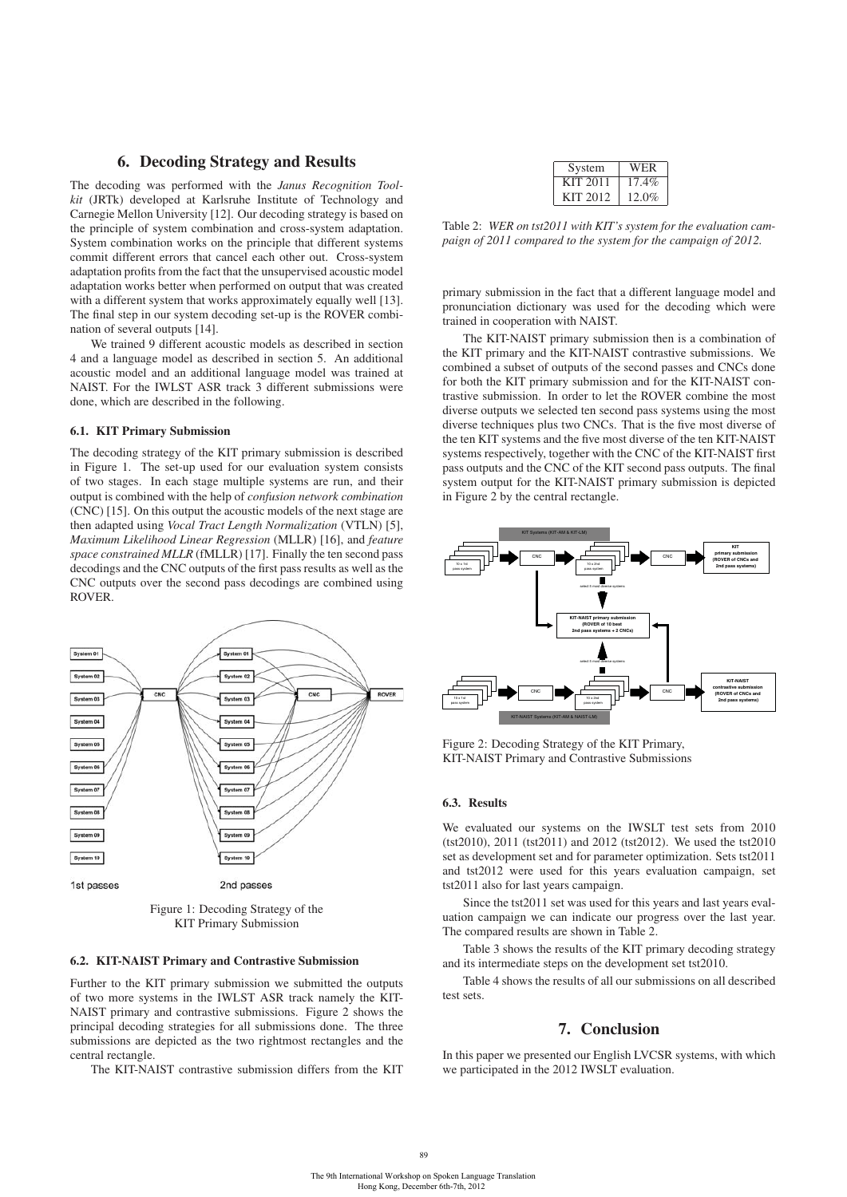### 6. Decoding Strategy and Results

The decoding was performed with the *Janus Recognition Toolkit* (JRTk) developed at Karlsruhe Institute of Technology and Carnegie Mellon University [12]. Our decoding strategy is based on the principle of system combination and cross-system adaptation. System combination works on the principle that different systems commit different errors that cancel each other out. Cross-system adaptation profits from the fact that the unsupervised acoustic model adaptation works better when performed on output that was created with a different system that works approximately equally well [13]. The final step in our system decoding set-up is the ROVER combination of several outputs [14].

We trained 9 different acoustic models as described in section 4 and a language model as described in section 5. An additional acoustic model and an additional language model was trained at NAIST. For the IWLST ASR track 3 different submissions were done, which are described in the following.

### 6.1. KIT Primary Submission

The decoding strategy of the KIT primary submission is described in Figure 1. The set-up used for our evaluation system consists of two stages. In each stage multiple systems are run, and their output is combined with the help of *confusion network combination* (CNC) [15]. On this output the acoustic models of the next stage are then adapted using *Vocal Tract Length Normalization* (VTLN) [5], *Maximum Likelihood Linear Regression* (MLLR) [16], and *feature space constrained MLLR* (fMLLR) [17]. Finally the ten second pass decodings and the CNC outputs of the first pass results as well as the CNC outputs over the second pass decodings are combined using ROVER.



Figure 1: Decoding Strategy of the KIT Primary Submission

#### 6.2. KIT-NAIST Primary and Contrastive Submission

Further to the KIT primary submission we submitted the outputs of two more systems in the IWLST ASR track namely the KIT-NAIST primary and contrastive submissions. Figure 2 shows the principal decoding strategies for all submissions done. The three submissions are depicted as the two rightmost rectangles and the central rectangle.

The KIT-NAIST contrastive submission differs from the KIT

| System   | WER      |
|----------|----------|
| KIT 2011 | 17.4%    |
| KIT 2012 | $12.0\%$ |

Table 2: *WER on tst2011 with KIT's system for the evaluation campaign of 2011 compared to the system for the campaign of 2012.*

primary submission in the fact that a different language model and pronunciation dictionary was used for the decoding which were trained in cooperation with NAIST.

The KIT-NAIST primary submission then is a combination of the KIT primary and the KIT-NAIST contrastive submissions. We combined a subset of outputs of the second passes and CNCs done for both the KIT primary submission and for the KIT-NAIST contrastive submission. In order to let the ROVER combine the most diverse outputs we selected ten second pass systems using the most diverse techniques plus two CNCs. That is the five most diverse of the ten KIT systems and the five most diverse of the ten KIT-NAIST systems respectively, together with the CNC of the KIT-NAIST first pass outputs and the CNC of the KIT second pass outputs. The final system output for the KIT-NAIST primary submission is depicted in Figure 2 by the central rectangle.



Figure 2: Decoding Strategy of the KIT Primary, KIT-NAIST Primary and Contrastive Submissions

#### 6.3. Results

We evaluated our systems on the IWSLT test sets from 2010 (tst2010), 2011 (tst2011) and 2012 (tst2012). We used the tst2010 set as development set and for parameter optimization. Sets tst2011 and tst2012 were used for this years evaluation campaign, set tst2011 also for last years campaign.

Since the tst2011 set was used for this years and last years evaluation campaign we can indicate our progress over the last year. The compared results are shown in Table 2.

Table 3 shows the results of the KIT primary decoding strategy and its intermediate steps on the development set tst2010.

Table 4 shows the results of all our submissions on all described test sets.

# 7. Conclusion

In this paper we presented our English LVCSR systems, with which we participated in the 2012 IWSLT evaluation.

89 and 2012 and 2012 and 2012 and 2012 and 2012 and 2012 and 2012 and 2012 and 2012 and 2012 and 201